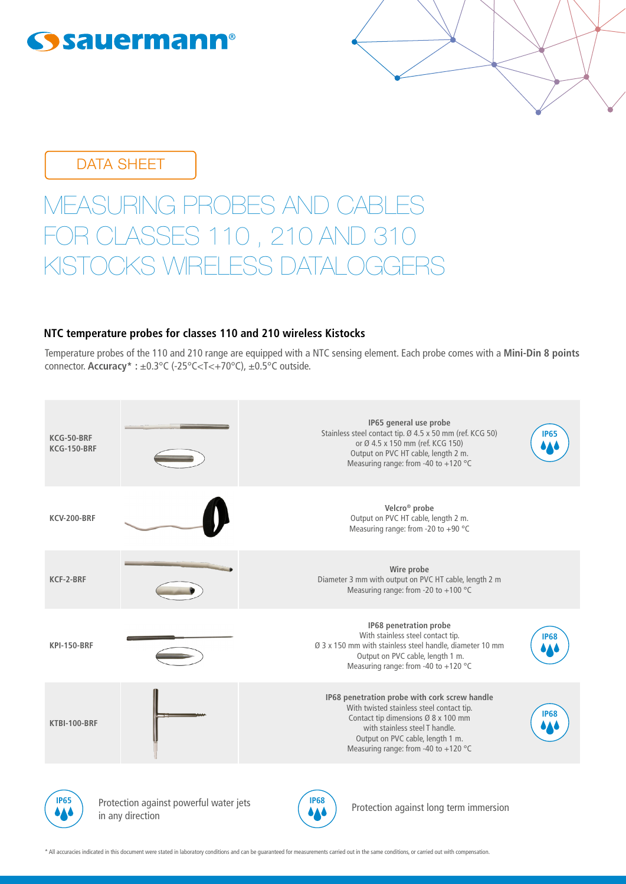

DATA SHEET

# EASURING PROBES AND CABLES ASSES 110, 210 AND 31 RELESS DATAL

## **NTC temperature probes for classes 110 and 210 wireless Kistocks**

Temperature probes of the 110 and 210 range are equipped with a NTC sensing element. Each probe comes with a **Mini-Din 8 points** connector. **Accuracy\* :** ±0.3°C (-25°C<T<+70°C), ±0.5°C outside.



\* All accuracies indicated in this document were stated in laboratory conditions and can be guaranteed for measurements carried out in the same conditions, or carried out with compensation.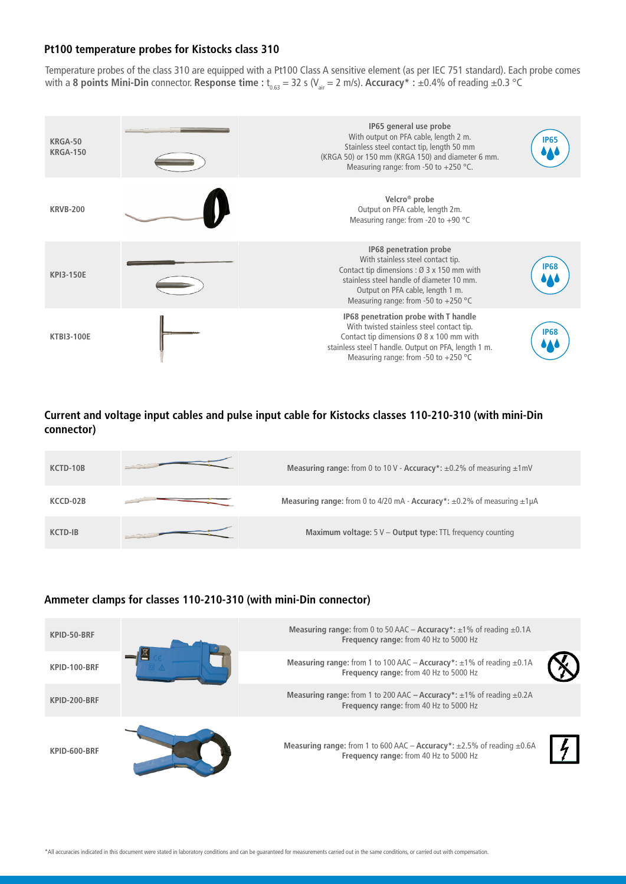#### **Pt100 temperature probes for Kistocks class 310**

Temperature probes of the class 310 are equipped with a Pt100 Class A sensitive element (as per IEC 751 standard). Each probe comes with a **8 points Mini-Din** connector. **Response time :**  $t_{0.63} = 32$  s (V<sub>air</sub> = 2 m/s). **Accuracy**\* : ±0.4% of reading ±0.3 °C



**Current and voltage input cables and pulse input cable for Kistocks classes 110-210-310 (with mini-Din connector)**

| KCTD-10B       | Measuring range: from 0 to 10 V - Accuracy*: $\pm$ 0.2% of measuring $\pm$ 1 mV       |
|----------------|---------------------------------------------------------------------------------------|
| KCCD-02B       | Measuring range: from 0 to 4/20 mA - Accuracy*: $\pm 0.2$ % of measuring $\pm 1\mu$ A |
| <b>KCTD-IB</b> | Maximum voltage: $5V -$ Output type: TTL frequency counting                           |

#### **Ammeter clamps for classes 110-210-310 (with mini-Din connector)**

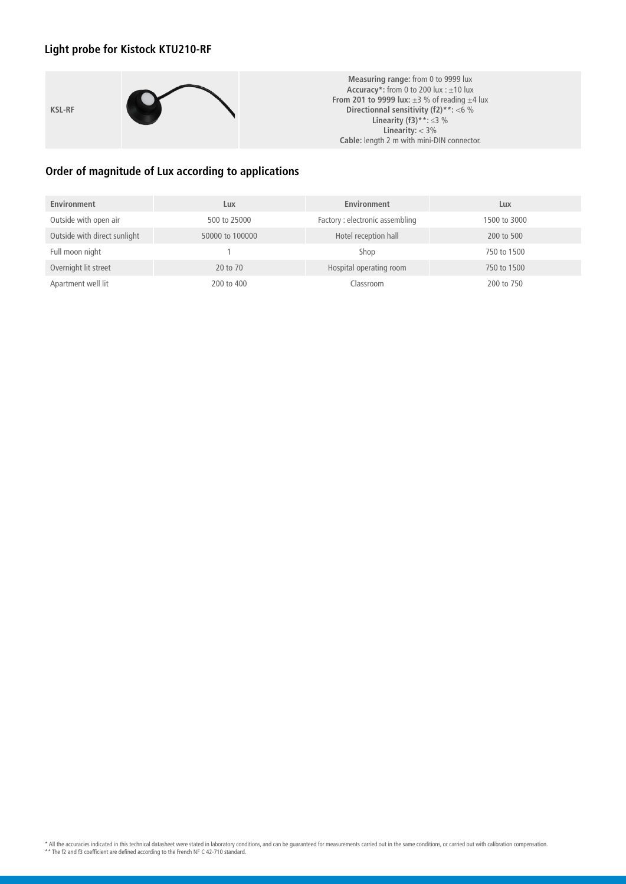# **Light probe for Kistock KTU210-RF**

**KSL-RF**



**Measuring range:** from 0 to 9999 lux **Accuracy\*:** from 0 to 200 lux : ±10 lux **From 201 to 9999 lux:** ±3 % of reading ±4 lux **Directionnal sensitivity (f2)\*\*:** <6 % **Linearity (f3)\*\*:** ≤3 % **Linearity:** < 3% **Cable:** length 2 m with mini-DIN connector.

## **Order of magnitude of Lux according to applications**

| Environment                  | Lux             | Environment                     | Lux          |
|------------------------------|-----------------|---------------------------------|--------------|
| Outside with open air        | 500 to 25000    | Factory : electronic assembling | 1500 to 3000 |
| Outside with direct sunlight | 50000 to 100000 | Hotel reception hall            | 200 to 500   |
| Full moon night              |                 | Shop                            | 750 to 1500  |
| Overnight lit street         | 20 to 70        | Hospital operating room         | 750 to 1500  |
| Apartment well lit           | 200 to 400      | Classroom                       | 200 to 750   |

\* All the accuracies indicated in this technical datasheet were stated in laboratory conditions, and can be guaranteed for measurements carried out in the same conditions, or carried out with calibration compensation<br>\*\* Th